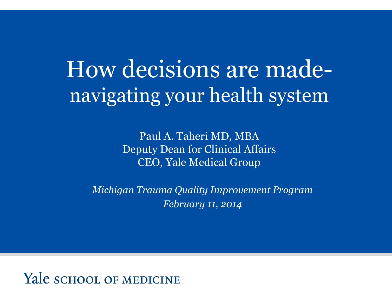## How decisions are madenavigating your health system

Paul A. Taheri MD, MBA Deputy Dean for Clinical Affairs CEO, Yale Medical Group

*Michigan Trauma Quality Improvement Program February 11, 2014* 

Yale school of Medicine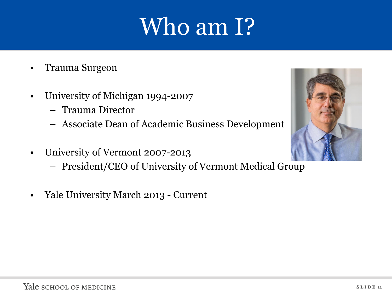## Who am I?

- Trauma Surgeon
- University of Michigan 1994-2007
	- Trauma Director
	- Associate Dean of Academic Business Development
- University of Vermont 2007-2013
	- President/CEO of University of Vermont Medical Group
- Yale University March 2013 Current

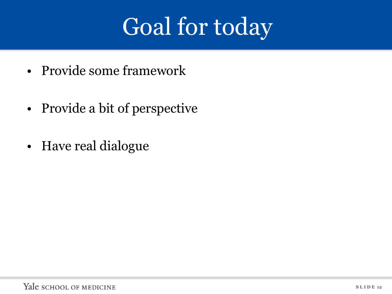# Goal for today

- Provide some framework
- Provide a bit of perspective
- Have real dialogue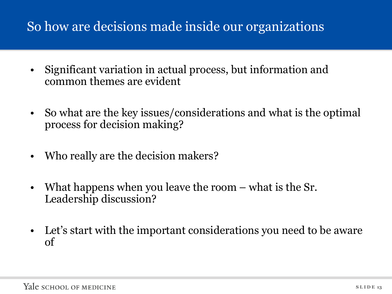#### So how are decisions made inside our organizations

- Significant variation in actual process, but information and common themes are evident
- So what are the key issues/considerations and what is the optimal process for decision making?
- Who really are the decision makers?
- What happens when you leave the room what is the Sr. Leadership discussion?
- Let's start with the important considerations you need to be aware of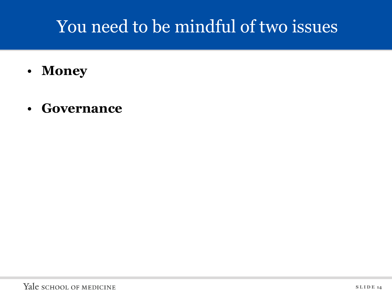## You need to be mindful of two issues

- **Money**
- **Governance**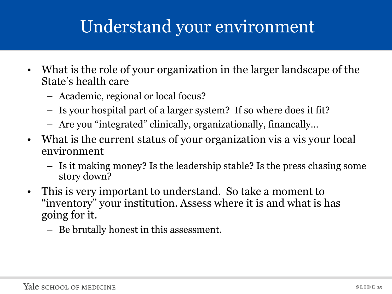## Understand your environment

- What is the role of your organization in the larger landscape of the State's health care
	- Academic, regional or local focus?
	- Is your hospital part of a larger system? If so where does it fit?
	- Are you "integrated" clinically, organizationally, financally…
- What is the current status of your organization vis a vis your local environment
	- Is it making money? Is the leadership stable? Is the press chasing some story down?
- This is very important to understand. So take a moment to "inventory" your institution. Assess where it is and what is has going for it.
	- Be brutally honest in this assessment.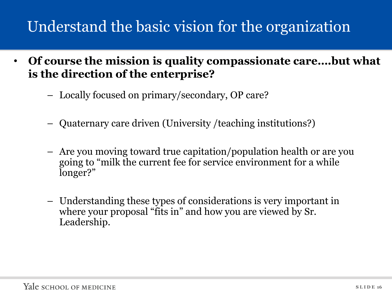#### Understand the basic vision for the organization

- **Of course the mission is quality compassionate care….but what is the direction of the enterprise?** 
	- Locally focused on primary/secondary, OP care?
	- Quaternary care driven (University /teaching institutions?)
	- Are you moving toward true capitation/population health or are you going to "milk the current fee for service environment for a while longer?"
	- Understanding these types of considerations is very important in where your proposal "fits in" and how you are viewed by Sr. Leadership.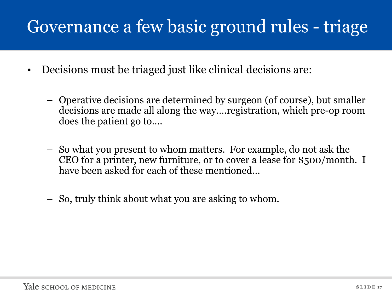## Governance a few basic ground rules - triage

- Decisions must be triaged just like clinical decisions are:
	- Operative decisions are determined by surgeon (of course), but smaller decisions are made all along the way….registration, which pre-op room does the patient go to….
	- So what you present to whom matters. For example, do not ask the CEO for a printer, new furniture, or to cover a lease for \$500/month. I have been asked for each of these mentioned…
	- So, truly think about what you are asking to whom.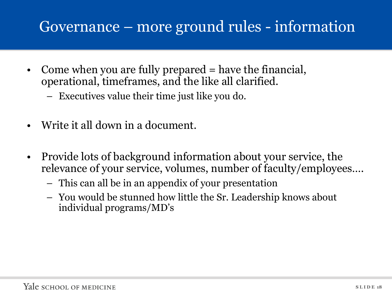#### Governance – more ground rules - information

- Come when you are fully prepared = have the financial, operational, timeframes, and the like all clarified.
	- Executives value their time just like you do.
- Write it all down in a document.
- Provide lots of background information about your service, the relevance of your service, volumes, number of faculty/employees….
	- This can all be in an appendix of your presentation
	- You would be stunned how little the Sr. Leadership knows about individual programs/MD's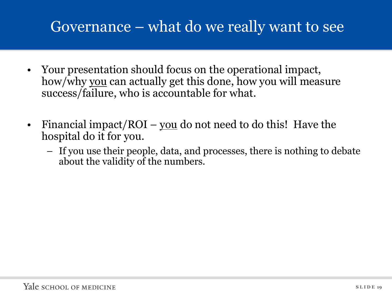#### Governance – what do we really want to see

- Your presentation should focus on the operational impact, how/why you can actually get this done, how you will measure success/failure, who is accountable for what.
- Financial impact/ROI <u>you</u> do not need to do this! Have the hospital do it for you.
	- If you use their people, data, and processes, there is nothing to debate about the validity of the numbers.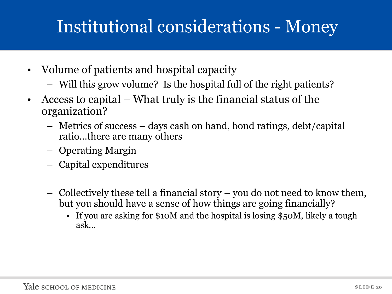## Institutional considerations - Money

- Volume of patients and hospital capacity
	- Will this grow volume? Is the hospital full of the right patients?
- Access to capital What truly is the financial status of the organization?
	- Metrics of success days cash on hand, bond ratings, debt/capital ratio…there are many others
	- Operating Margin
	- Capital expenditures
	- Collectively these tell a financial story you do not need to know them, but you should have a sense of how things are going financially?
		- If you are asking for \$10M and the hospital is losing \$50M, likely a tough ask…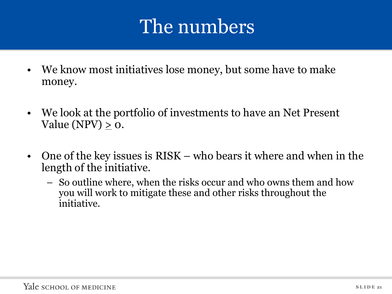## The numbers

- We know most initiatives lose money, but some have to make money.
- We look at the portfolio of investments to have an Net Present Value (NPV)  $> 0$ .
- One of the key issues is RISK who bears it where and when in the length of the initiative.
	- So outline where, when the risks occur and who owns them and how you will work to mitigate these and other risks throughout the initiative.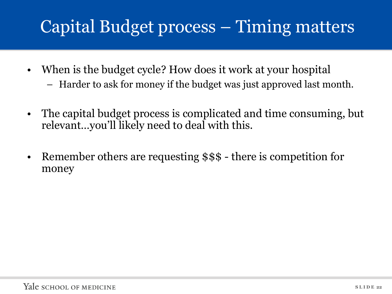## Capital Budget process – Timing matters

- When is the budget cycle? How does it work at your hospital
	- Harder to ask for money if the budget was just approved last month.
- The capital budget process is complicated and time consuming, but relevant…you'll likely need to deal with this.
- Remember others are requesting \$\$\$ there is competition for money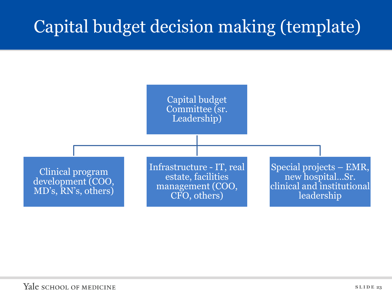## Capital budget decision making (template)

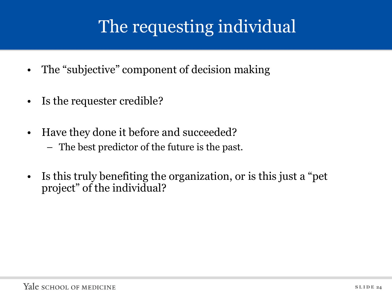## The requesting individual

- The "subjective" component of decision making
- Is the requester credible?
- Have they done it before and succeeded?
	- The best predictor of the future is the past.
- Is this truly benefiting the organization, or is this just a "pet project" of the individual?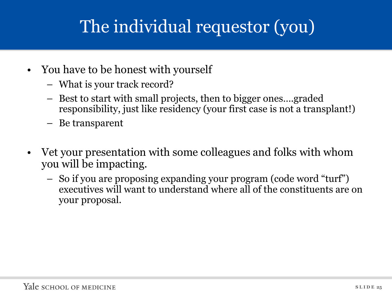## The individual requestor (you)

- You have to be honest with yourself
	- What is your track record?
	- Best to start with small projects, then to bigger ones….graded responsibility, just like residency (your first case is not a transplant!)
	- Be transparent
- Vet your presentation with some colleagues and folks with whom you will be impacting.
	- So if you are proposing expanding your program (code word "turf") executives will want to understand where all of the constituents are on your proposal.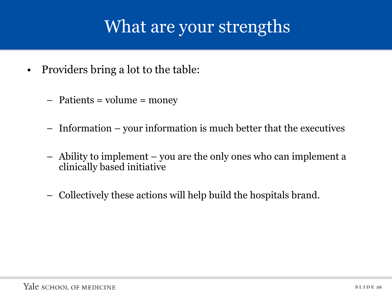### What are your strengths

- Providers bring a lot to the table:
	- Patients = volume = money
	- Information your information is much better that the executives
	- Ability to implement you are the only ones who can implement a clinically based initiative
	- Collectively these actions will help build the hospitals brand.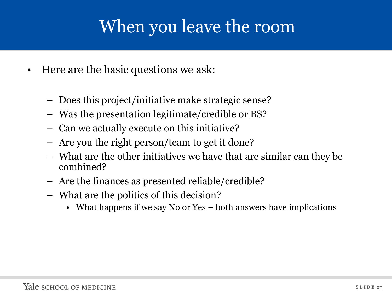## When you leave the room

- Here are the basic questions we ask:
	- Does this project/initiative make strategic sense?
	- Was the presentation legitimate/credible or BS?
	- Can we actually execute on this initiative?
	- Are you the right person/team to get it done?
	- What are the other initiatives we have that are similar can they be combined?
	- Are the finances as presented reliable/credible?
	- What are the politics of this decision?
		- What happens if we say No or Yes both answers have implications